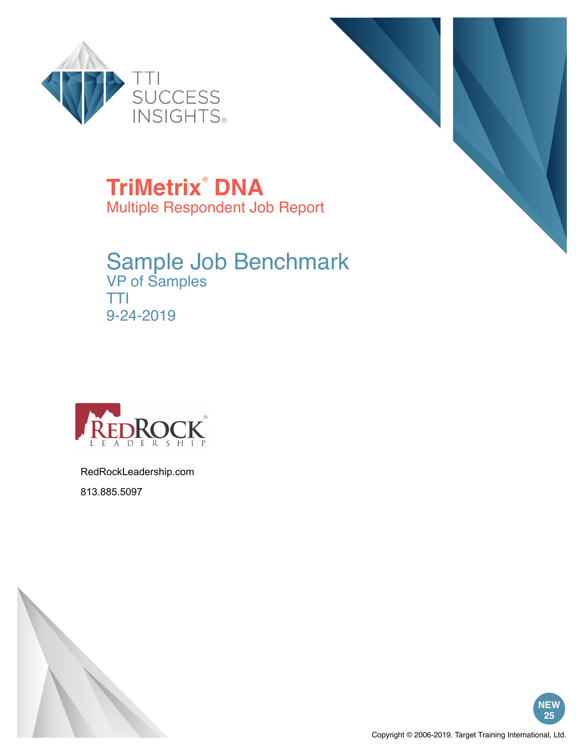



**TriMetrix**®  **DNA** Multiple Respondent Job Report

# Sample Job Benchmark

VP of Samples TTI 9-24-2019



RedRockLeadership.com 813.885.5097



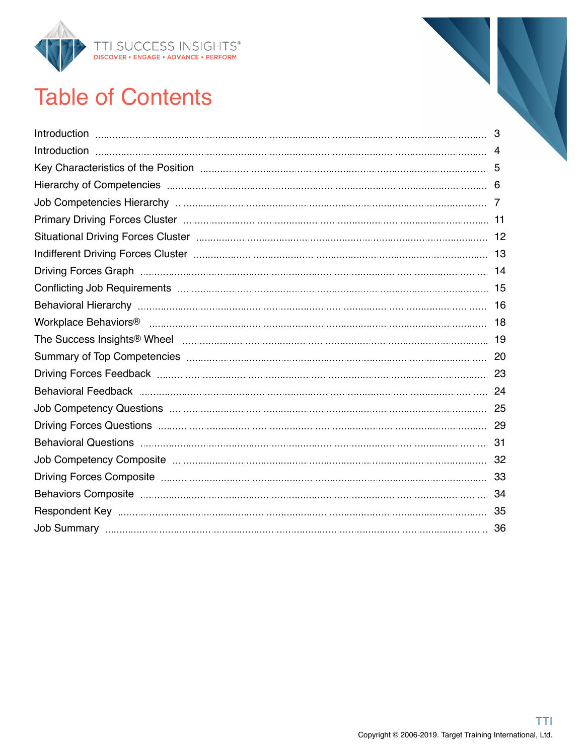

## Table of Contents

| Key Characteristics of the Position manufactured and the control of the Position manufactured and the Society |    |
|---------------------------------------------------------------------------------------------------------------|----|
|                                                                                                               |    |
|                                                                                                               |    |
|                                                                                                               |    |
|                                                                                                               |    |
|                                                                                                               |    |
|                                                                                                               |    |
|                                                                                                               |    |
|                                                                                                               |    |
|                                                                                                               |    |
|                                                                                                               |    |
|                                                                                                               |    |
|                                                                                                               |    |
|                                                                                                               |    |
|                                                                                                               |    |
|                                                                                                               |    |
|                                                                                                               |    |
|                                                                                                               |    |
|                                                                                                               |    |
|                                                                                                               |    |
|                                                                                                               | 35 |
|                                                                                                               |    |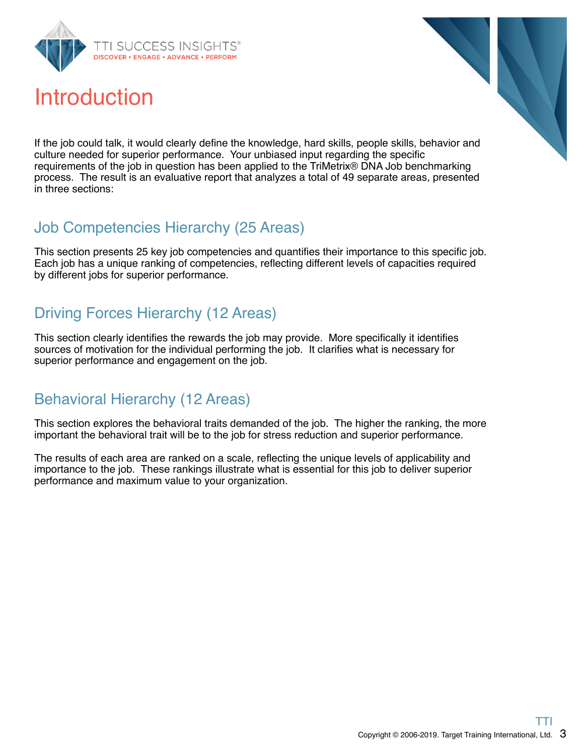

### Introduction



If the job could talk, it would clearly define the knowledge, hard skills, people skills, behavior and culture needed for superior performance. Your unbiased input regarding the specific requirements of the job in question has been applied to the TriMetrix® DNA Job benchmarking process. The result is an evaluative report that analyzes a total of 49 separate areas, presented in three sections:

### Job Competencies Hierarchy (25 Areas)

This section presents 25 key job competencies and quantifies their importance to this specific job. Each job has a unique ranking of competencies, reflecting different levels of capacities required by different jobs for superior performance.

### Driving Forces Hierarchy (12 Areas)

This section clearly identifies the rewards the job may provide. More specifically it identifies sources of motivation for the individual performing the job. It clarifies what is necessary for superior performance and engagement on the job.

### Behavioral Hierarchy (12 Areas)

This section explores the behavioral traits demanded of the job. The higher the ranking, the more important the behavioral trait will be to the job for stress reduction and superior performance.

The results of each area are ranked on a scale, reflecting the unique levels of applicability and importance to the job. These rankings illustrate what is essential for this job to deliver superior performance and maximum value to your organization.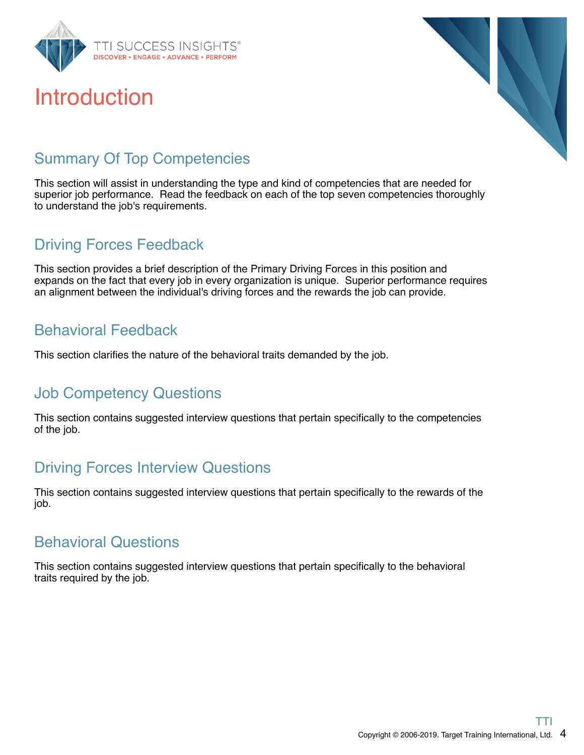

### Introduction



### Summary Of Top Competencies

This section will assist in understanding the type and kind of competencies that are needed for superior job performance. Read the feedback on each of the top seven competencies thoroughly to understand the job's requirements.

### Driving Forces Feedback

This section provides a brief description of the Primary Driving Forces in this position and expands on the fact that every job in every organization is unique. Superior performance requires an alignment between the individual's driving forces and the rewards the job can provide.

### Behavioral Feedback

This section clarifies the nature of the behavioral traits demanded by the job.

### Job Competency Questions

This section contains suggested interview questions that pertain specifically to the competencies of the job.

### Driving Forces Interview Questions

This section contains suggested interview questions that pertain specifically to the rewards of the job.

### Behavioral Questions

This section contains suggested interview questions that pertain specifically to the behavioral traits required by the job.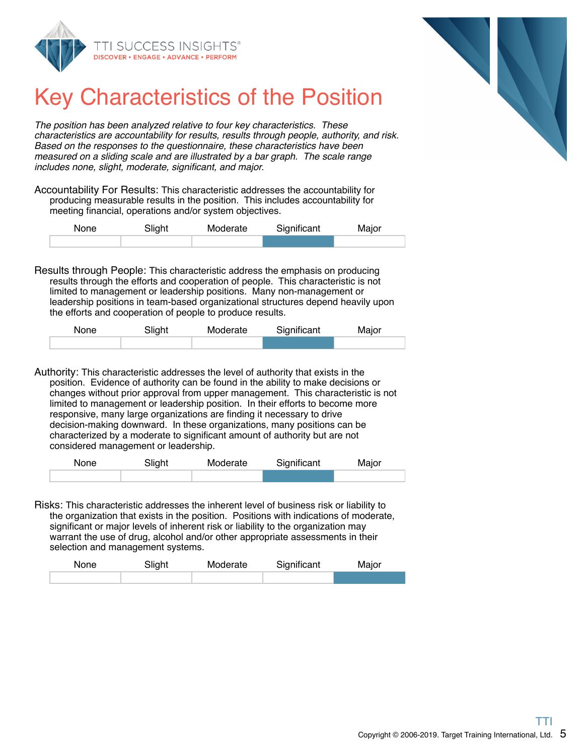



### Key Characteristics of the Position

The position has been analyzed relative to four key characteristics. These characteristics are accountability for results, results through people, authority, and risk. Based on the responses to the questionnaire, these characteristics have been measured on a sliding scale and are illustrated by a bar graph. The scale range includes none, slight, moderate, significant, and major.

Accountability For Results: This characteristic addresses the accountability for producing measurable results in the position. This includes accountability for meeting financial, operations and/or system objectives.

| None | Slight | Moderate | Significant | Major |
|------|--------|----------|-------------|-------|
|      |        |          |             |       |

Results through People: This characteristic address the emphasis on producing results through the efforts and cooperation of people. This characteristic is not limited to management or leadership positions. Many non-management or leadership positions in team-based organizational structures depend heavily upon the efforts and cooperation of people to produce results.

| None | Slight | Moderate | Significant | Major |
|------|--------|----------|-------------|-------|
|      |        |          |             |       |

Authority: This characteristic addresses the level of authority that exists in the position. Evidence of authority can be found in the ability to make decisions or changes without prior approval from upper management. This characteristic is not limited to management or leadership position. In their efforts to become more responsive, many large organizations are finding it necessary to drive decision-making downward. In these organizations, many positions can be characterized by a moderate to significant amount of authority but are not considered management or leadership.

| None | Slight | Moderate | Significant | Major |
|------|--------|----------|-------------|-------|
|      |        |          |             |       |

Risks: This characteristic addresses the inherent level of business risk or liability to the organization that exists in the position. Positions with indications of moderate, significant or major levels of inherent risk or liability to the organization may warrant the use of drug, alcohol and/or other appropriate assessments in their selection and management systems.

| <b>None</b> | Slight | Moderate | Significant | Major |
|-------------|--------|----------|-------------|-------|
|             |        |          |             |       |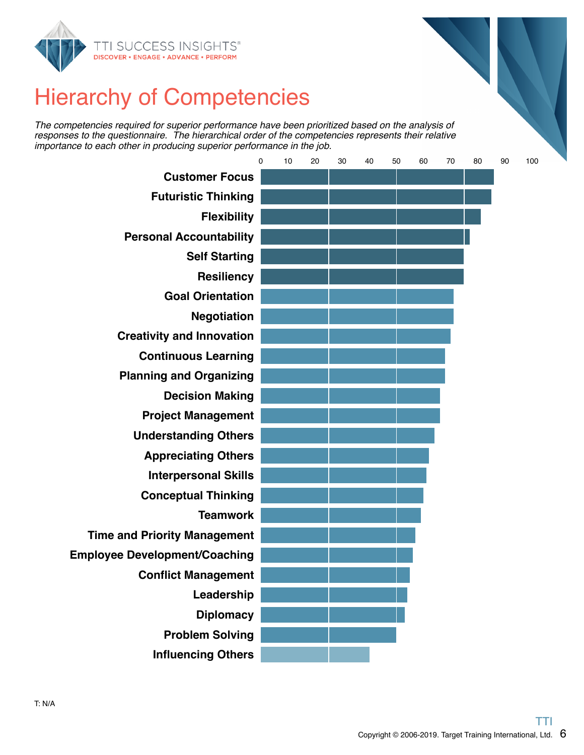



The competencies required for superior performance have been prioritized based on the analysis of responses to the questionnaire. The hierarchical order of the competencies represents their relative importance to each other in producing superior performance in the job.

|                                      | 0 | 10 | 20 | 30 | 40 | 50 | 60 | 70 | 80 | 90 | 100 |
|--------------------------------------|---|----|----|----|----|----|----|----|----|----|-----|
| <b>Customer Focus</b>                |   |    |    |    |    |    |    |    |    |    |     |
| <b>Futuristic Thinking</b>           |   |    |    |    |    |    |    |    |    |    |     |
| <b>Flexibility</b>                   |   |    |    |    |    |    |    |    |    |    |     |
| <b>Personal Accountability</b>       |   |    |    |    |    |    |    |    |    |    |     |
| <b>Self Starting</b>                 |   |    |    |    |    |    |    |    |    |    |     |
| <b>Resiliency</b>                    |   |    |    |    |    |    |    |    |    |    |     |
| <b>Goal Orientation</b>              |   |    |    |    |    |    |    |    |    |    |     |
| <b>Negotiation</b>                   |   |    |    |    |    |    |    |    |    |    |     |
| <b>Creativity and Innovation</b>     |   |    |    |    |    |    |    |    |    |    |     |
| <b>Continuous Learning</b>           |   |    |    |    |    |    |    |    |    |    |     |
| <b>Planning and Organizing</b>       |   |    |    |    |    |    |    |    |    |    |     |
| <b>Decision Making</b>               |   |    |    |    |    |    |    |    |    |    |     |
| <b>Project Management</b>            |   |    |    |    |    |    |    |    |    |    |     |
| <b>Understanding Others</b>          |   |    |    |    |    |    |    |    |    |    |     |
| <b>Appreciating Others</b>           |   |    |    |    |    |    |    |    |    |    |     |
| <b>Interpersonal Skills</b>          |   |    |    |    |    |    |    |    |    |    |     |
| <b>Conceptual Thinking</b>           |   |    |    |    |    |    |    |    |    |    |     |
| <b>Teamwork</b>                      |   |    |    |    |    |    |    |    |    |    |     |
| <b>Time and Priority Management</b>  |   |    |    |    |    |    |    |    |    |    |     |
| <b>Employee Development/Coaching</b> |   |    |    |    |    |    |    |    |    |    |     |
| <b>Conflict Management</b>           |   |    |    |    |    |    |    |    |    |    |     |
| Leadership                           |   |    |    |    |    |    |    |    |    |    |     |
| <b>Diplomacy</b>                     |   |    |    |    |    |    |    |    |    |    |     |
| <b>Problem Solving</b>               |   |    |    |    |    |    |    |    |    |    |     |
| <b>Influencing Others</b>            |   |    |    |    |    |    |    |    |    |    |     |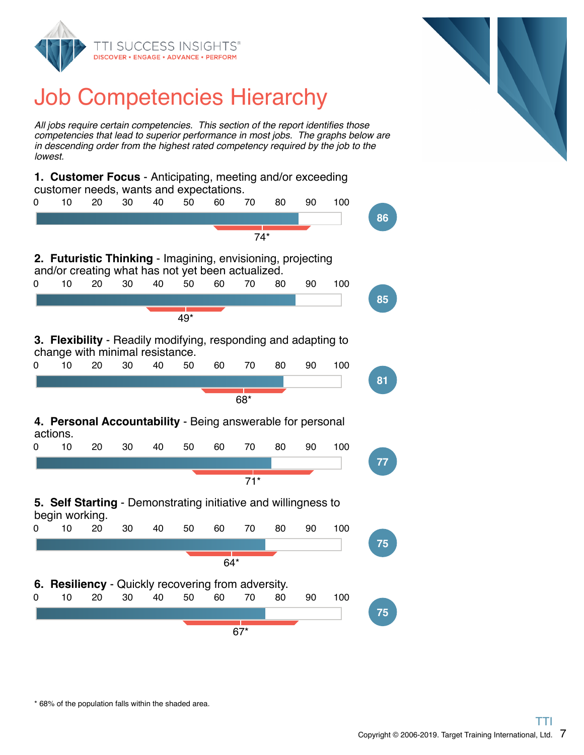

## Job Competencies Hierarchy

All jobs require certain competencies. This section of the report identifies those competencies that lead to superior performance in most jobs. The graphs below are in descending order from the highest rated competency required by the job to the lowest.

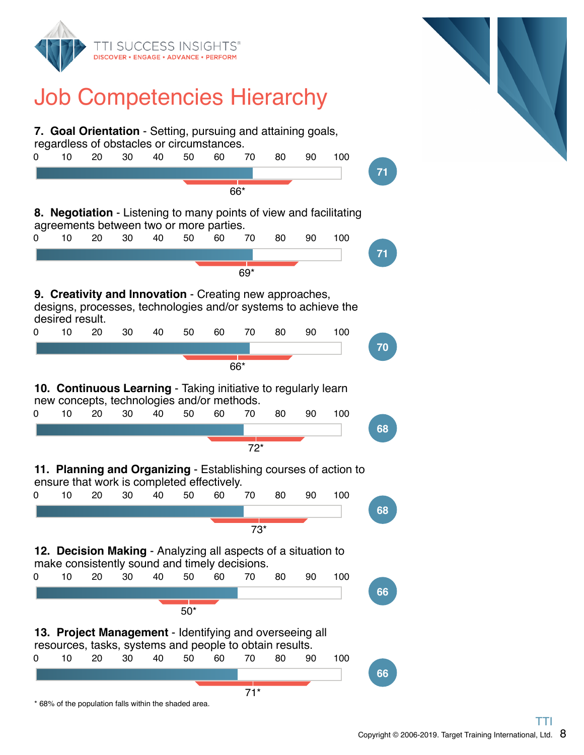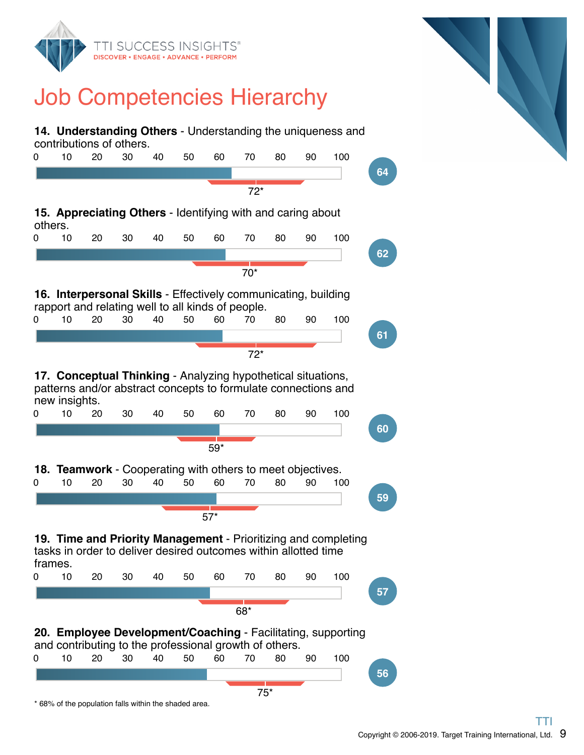

### Job Competencies Hierarchy

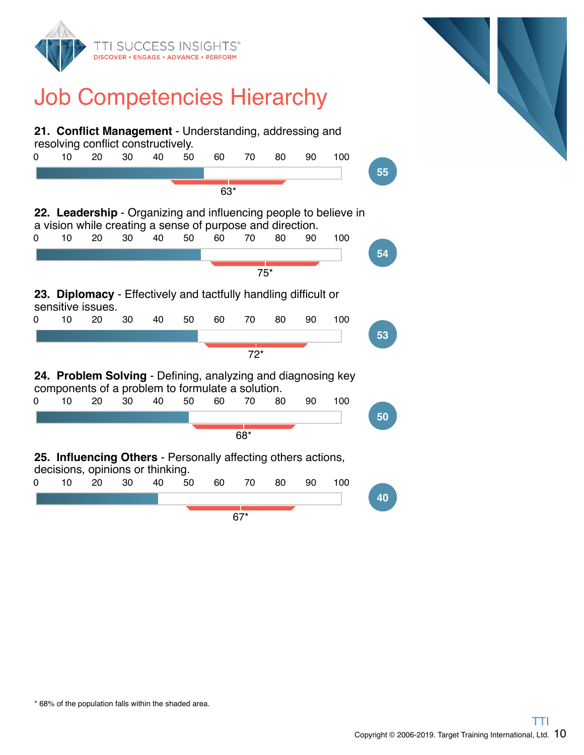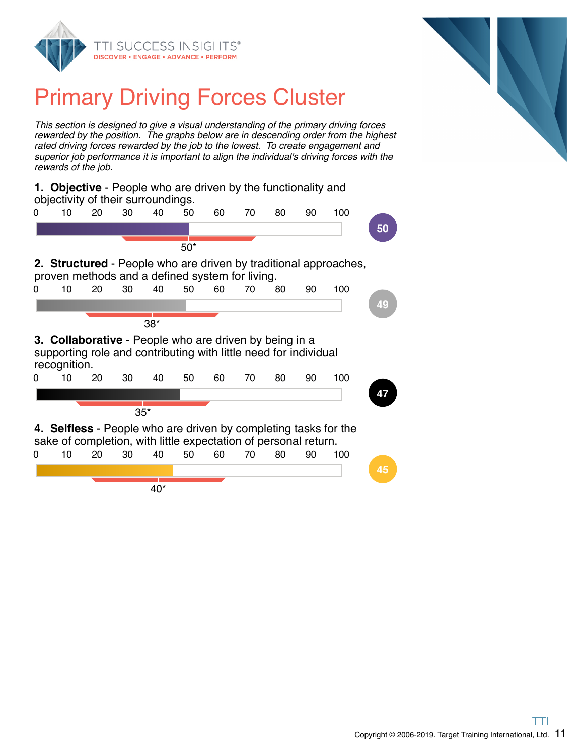



## Primary Driving Forces Cluster

This section is designed to give a visual understanding of the primary driving forces rewarded by the position. The graphs below are in descending order from the highest rated driving forces rewarded by the job to the lowest. To create engagement and superior job performance it is important to align the individual's driving forces with the rewards of the job.

|   |              | <b>1. Objective</b> - People who are driven by the functionality and<br>objectivity of their surroundings.                        |       |       |       |    |    |    |    |                                                                  |    |
|---|--------------|-----------------------------------------------------------------------------------------------------------------------------------|-------|-------|-------|----|----|----|----|------------------------------------------------------------------|----|
| 0 | 10           | 20                                                                                                                                | 30    | 40    | 50    | 60 | 70 | 80 | 90 | 100                                                              |    |
|   |              |                                                                                                                                   |       |       |       |    |    |    |    |                                                                  | 50 |
|   |              |                                                                                                                                   |       |       | $50*$ |    |    |    |    |                                                                  |    |
|   |              | proven methods and a defined system for living.                                                                                   |       |       |       |    |    |    |    | 2. Structured - People who are driven by traditional approaches, |    |
| 0 | 10           | 20                                                                                                                                | 30    | 40    | 50    | 60 | 70 | 80 | 90 | 100                                                              |    |
|   |              |                                                                                                                                   |       |       |       |    |    |    |    |                                                                  | 49 |
|   |              |                                                                                                                                   |       | $38*$ |       |    |    |    |    |                                                                  |    |
|   | recognition. | <b>3. Collaborative</b> - People who are driven by being in a<br>supporting role and contributing with little need for individual |       |       |       |    |    |    |    |                                                                  |    |
| 0 | 10           | 20                                                                                                                                |       | 40    |       |    |    |    |    |                                                                  |    |
|   |              |                                                                                                                                   | 30    |       | 50    | 60 | 70 | 80 | 90 | 100                                                              |    |
|   |              |                                                                                                                                   |       |       |       |    |    |    |    |                                                                  | 47 |
|   |              |                                                                                                                                   | $35*$ |       |       |    |    |    |    |                                                                  |    |
|   |              | sake of completion, with little expectation of personal return.                                                                   |       |       |       |    |    |    |    | 4. Selfless - People who are driven by completing tasks for the  |    |
| 0 | 10           | 20                                                                                                                                | 30    | 40    | 50    | 60 | 70 | 80 | 90 | 100                                                              |    |
|   |              |                                                                                                                                   |       |       |       |    |    |    |    |                                                                  | 45 |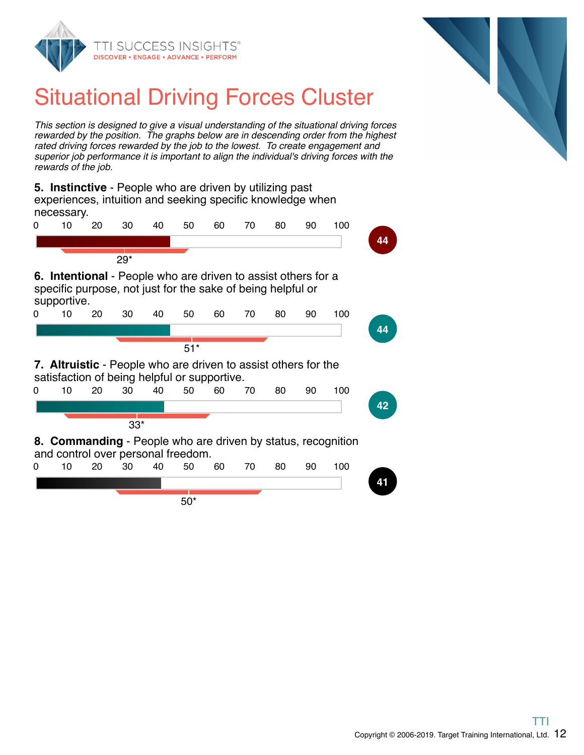



## Situational Driving Forces Cluster

This section is designed to give a visual understanding of the situational driving forces rewarded by the position. The graphs below are in descending order from the highest rated driving forces rewarded by the job to the lowest. To create engagement and superior job performance it is important to align the individual's driving forces with the rewards of the job.

**5. Instinctive** - People who are driven by utilizing past experiences, intuition and seeking specific knowledge when necessary.

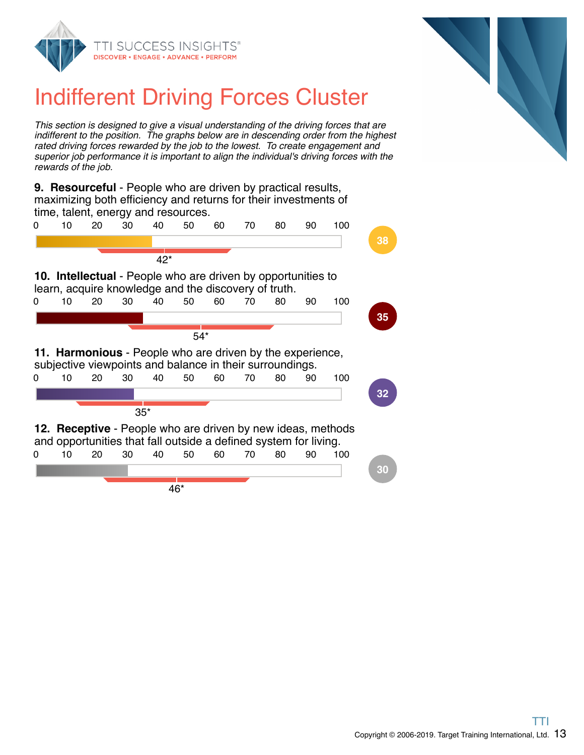



## Indifferent Driving Forces Cluster

This section is designed to give a visual understanding of the driving forces that are indifferent to the position. The graphs below are in descending order from the highest rated driving forces rewarded by the job to the lowest. To create engagement and superior job performance it is important to align the individual's driving forces with the rewards of the job.

**9. Resourceful** - People who are driven by practical results, maximizing both efficiency and returns for their investments of time, talent, energy and resources.

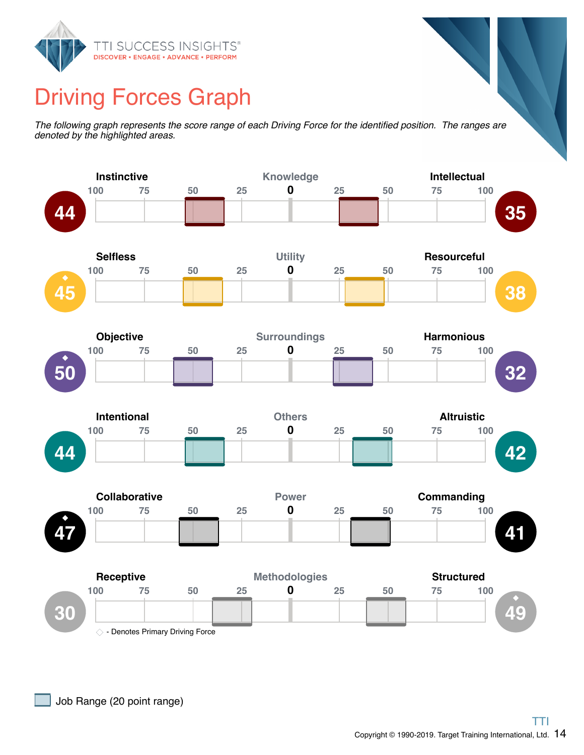

### Driving Forces Graph

The following graph represents the score range of each Driving Force for the identified position. The ranges are denoted by the highlighted areas.

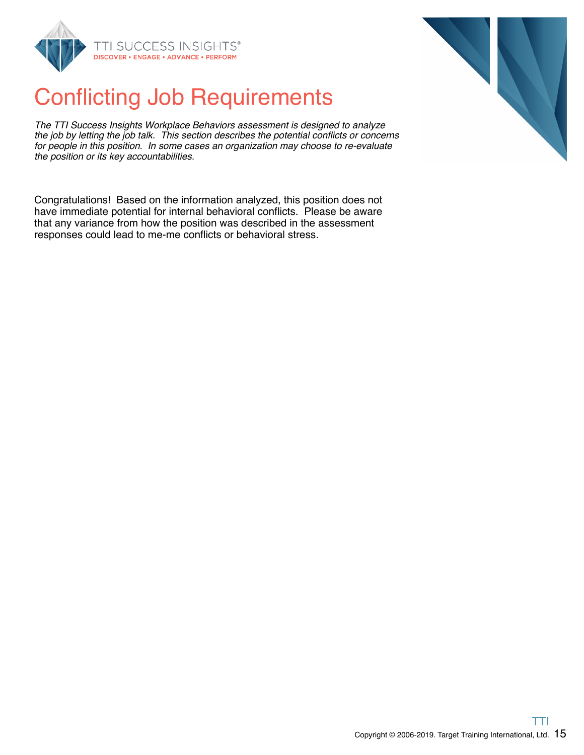

## Conflicting Job Requirements

The TTI Success Insights Workplace Behaviors assessment is designed to analyze the job by letting the job talk. This section describes the potential conflicts or concerns for people in this position. In some cases an organization may choose to re-evaluate the position or its key accountabilities.

Congratulations! Based on the information analyzed, this position does not have immediate potential for internal behavioral conflicts. Please be aware that any variance from how the position was described in the assessment responses could lead to me-me conflicts or behavioral stress.

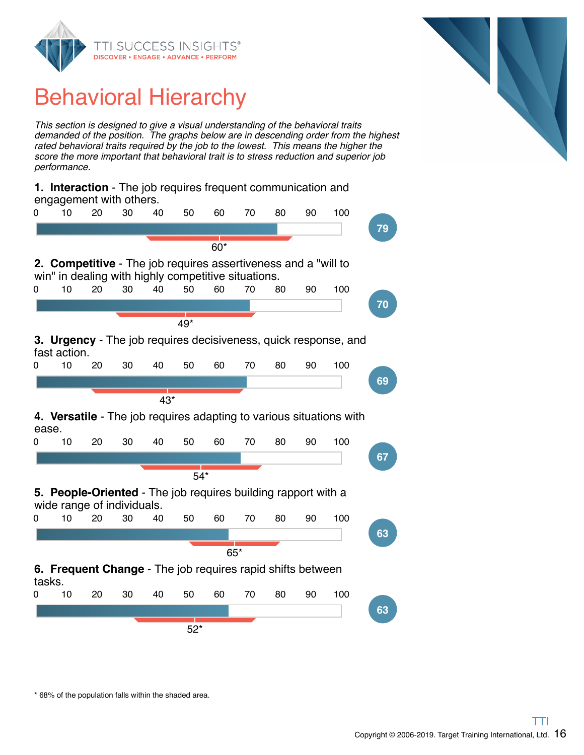

## Behavioral Hierarchy

This section is designed to give a visual understanding of the behavioral traits demanded of the position. The graphs below are in descending order from the highest rated behavioral traits required by the job to the lowest. This means the higher the score the more important that behavioral trait is to stress reduction and superior job performance.

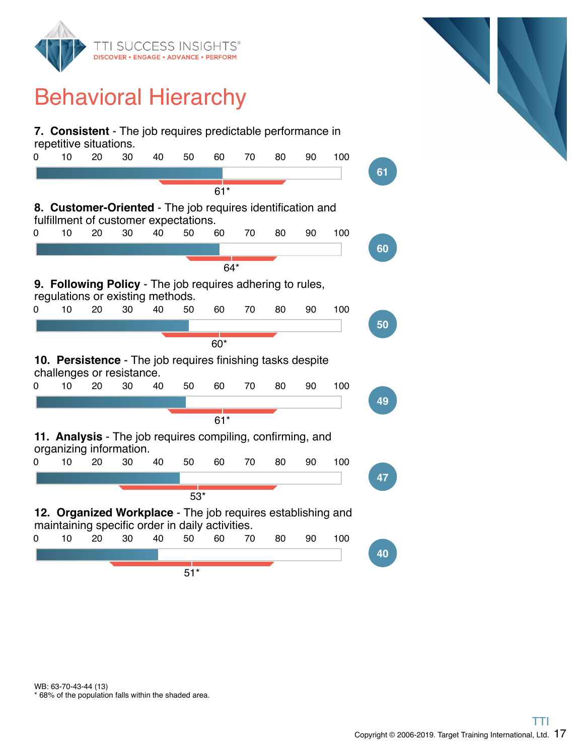

## Behavioral Hierarchy



\* 68% of the population falls within the shaded area. WB: 63-70-43-44 (13)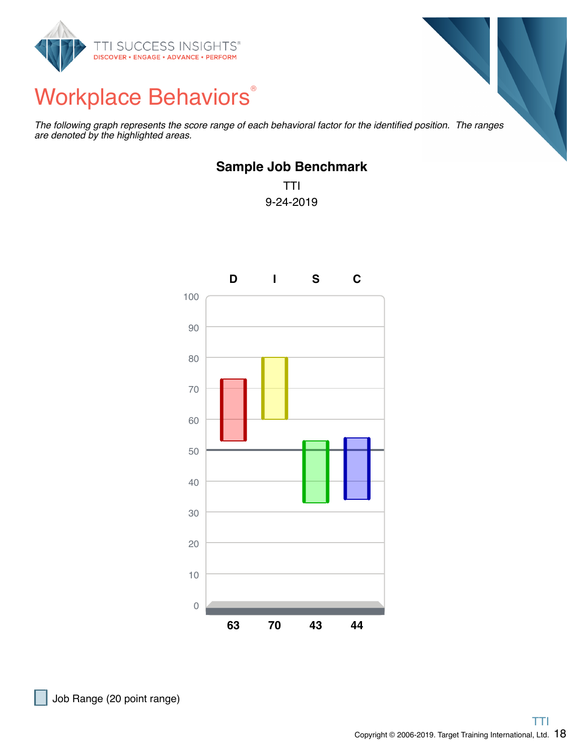

## Workplace Behaviors®

The following graph represents the score range of each behavioral factor for the identified position. The ranges are denoted by the highlighted areas.

#### **Sample Job Benchmark**

TTI 9-24-2019

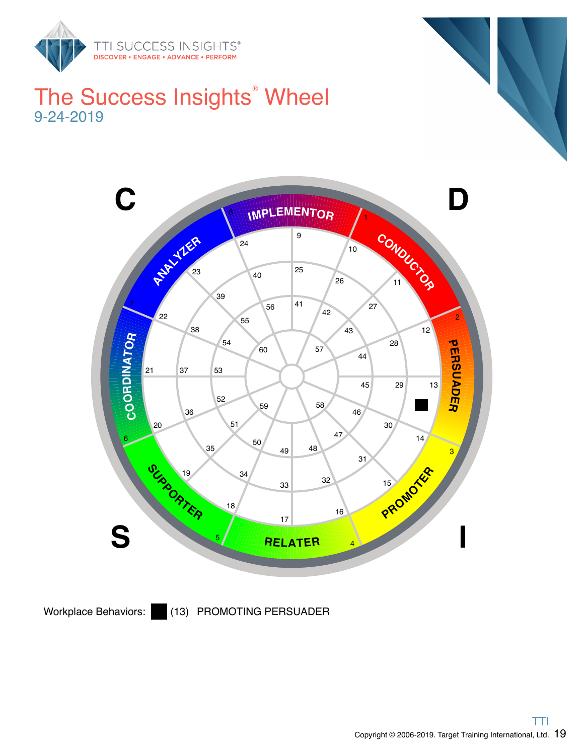

### The Success Insights<sup>®</sup> Wheel 9-24-2019



Workplace Behaviors: (13) PROMOTING PERSUADER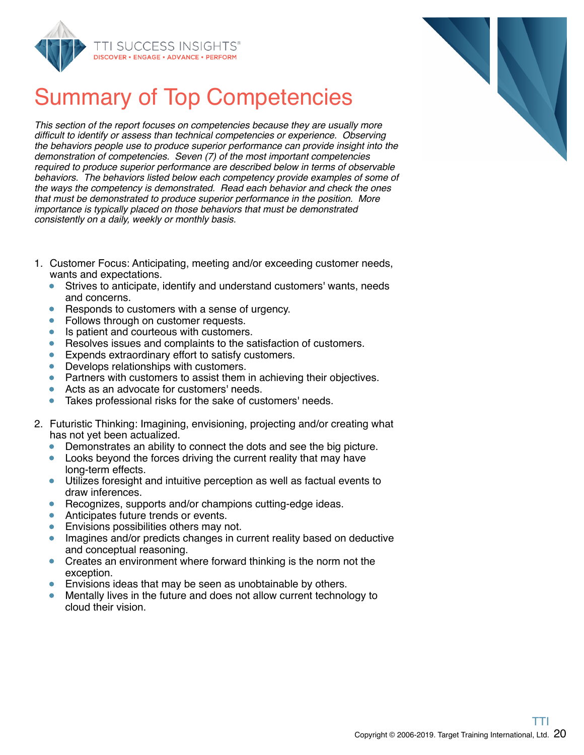



## Summary of Top Competencies

This section of the report focuses on competencies because they are usually more difficult to identify or assess than technical competencies or experience. Observing the behaviors people use to produce superior performance can provide insight into the demonstration of competencies. Seven (7) of the most important competencies required to produce superior performance are described below in terms of observable behaviors. The behaviors listed below each competency provide examples of some of the ways the competency is demonstrated. Read each behavior and check the ones that must be demonstrated to produce superior performance in the position. More importance is typically placed on those behaviors that must be demonstrated consistently on a daily, weekly or monthly basis.

- 1. Customer Focus: Anticipating, meeting and/or exceeding customer needs, wants and expectations.
	- Strives to anticipate, identify and understand customers' wants, needs  $\bullet$ and concerns.
	- Responds to customers with a sense of urgency.  $\bullet$
	- Follows through on customer requests.  $\bullet$
	- Is patient and courteous with customers.  $\bullet$
	- Resolves issues and complaints to the satisfaction of customers.  $\bullet$
	- Expends extraordinary effort to satisfy customers.
	- Develops relationships with customers.  $\bullet$
	- Partners with customers to assist them in achieving their objectives.
	- $\bullet$ Acts as an advocate for customers' needs.
	- $\bullet$ Takes professional risks for the sake of customers' needs.
- 2. Futuristic Thinking: Imagining, envisioning, projecting and/or creating what has not yet been actualized.
	- Demonstrates an ability to connect the dots and see the big picture.
	- Looks beyond the forces driving the current reality that may have long-term effects.
	- Utilizes foresight and intuitive perception as well as factual events to draw inferences.
	- Recognizes, supports and/or champions cutting-edge ideas.  $\bullet$
	- Anticipates future trends or events.  $\bullet$
	- Envisions possibilities others may not.  $\bullet$
	- Imagines and/or predicts changes in current reality based on deductive and conceptual reasoning.
	- Creates an environment where forward thinking is the norm not the exception.
	- Envisions ideas that may be seen as unobtainable by others.
	- Mentally lives in the future and does not allow current technology to cloud their vision.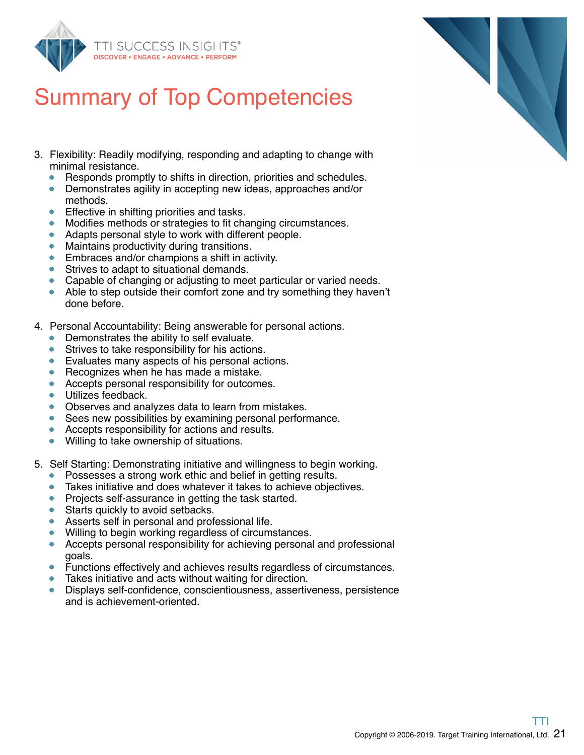

### Summary of Top Competencies

- 3. Flexibility: Readily modifying, responding and adapting to change with minimal resistance.
	- Responds promptly to shifts in direction, priorities and schedules.  $\bullet$
	- Demonstrates agility in accepting new ideas, approaches and/or methods.
	- Effective in shifting priorities and tasks.  $\bullet$
	- Modifies methods or strategies to fit changing circumstances.
	- Adapts personal style to work with different people.
	- Maintains productivity during transitions.  $\bullet$
	- $\bullet$ Embraces and/or champions a shift in activity.
	- Strives to adapt to situational demands.
	- Capable of changing or adjusting to meet particular or varied needs.
	- Able to step outside their comfort zone and try something they haven't done before.
- 4. Personal Accountability: Being answerable for personal actions.
	- Demonstrates the ability to self evaluate.
	- Strives to take responsibility for his actions.  $\bullet$
	- **Evaluates many aspects of his personal actions.**
	- Recognizes when he has made a mistake.
	- Accepts personal responsibility for outcomes.  $\bullet$
	- Utilizes feedback.
	- Observes and analyzes data to learn from mistakes.
	- $\bullet$ Sees new possibilities by examining personal performance.
	- Accepts responsibility for actions and results.  $\bullet$
	- Willing to take ownership of situations.  $\bullet$
- 5. Self Starting: Demonstrating initiative and willingness to begin working.
	- $\bullet$ Possesses a strong work ethic and belief in getting results.
	- Takes initiative and does whatever it takes to achieve objectives.
	- $\bullet$ Projects self-assurance in getting the task started.
	- Starts quickly to avoid setbacks.  $\bullet$
	- Asserts self in personal and professional life.
	- Willing to begin working regardless of circumstances.
	- Accepts personal responsibility for achieving personal and professional  $\bullet$ goals.
	- Functions effectively and achieves results regardless of circumstances.
	- Takes initiative and acts without waiting for direction.  $\bullet$
	- Displays self-confidence, conscientiousness, assertiveness, persistence and is achievement-oriented.

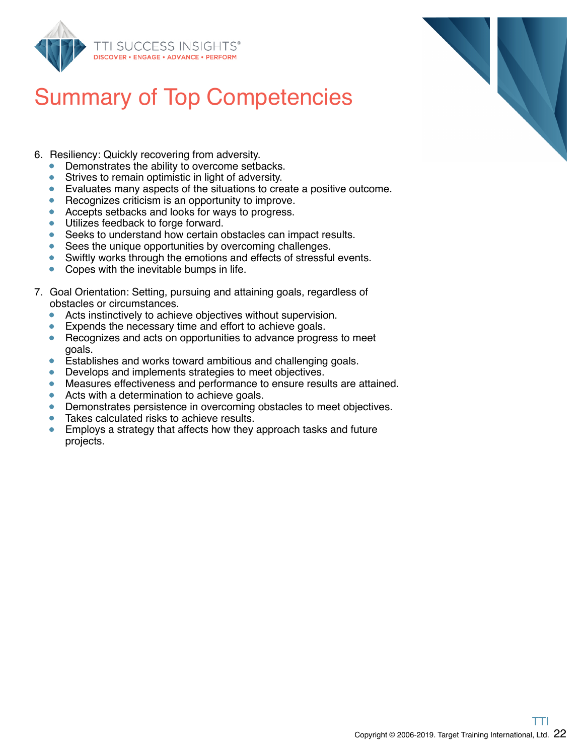



- 6. Resiliency: Quickly recovering from adversity.
	- $\bullet$ Demonstrates the ability to overcome setbacks.
	- $\bullet$ Strives to remain optimistic in light of adversity.
	- Evaluates many aspects of the situations to create a positive outcome.
	- Recognizes criticism is an opportunity to improve.
	- Accepts setbacks and looks for ways to progress.  $\bullet$
	- **Utilizes feedback to forge forward.**
	- Seeks to understand how certain obstacles can impact results.
	- Sees the unique opportunities by overcoming challenges.
	- $\bullet$ Swiftly works through the emotions and effects of stressful events.
	- Copes with the inevitable bumps in life.
- 7. Goal Orientation: Setting, pursuing and attaining goals, regardless of obstacles or circumstances.
	- Acts instinctively to achieve objectives without supervision.
	- Expends the necessary time and effort to achieve goals.
	- Recognizes and acts on opportunities to advance progress to meet  $\bullet$ goals.
	- Establishes and works toward ambitious and challenging goals.  $\bullet$
	- **•** Develops and implements strategies to meet objectives.
	- Measures effectiveness and performance to ensure results are attained.  $\bullet$
	- Acts with a determination to achieve goals.
	- Demonstrates persistence in overcoming obstacles to meet objectives.
	- Takes calculated risks to achieve results.
	- Employs a strategy that affects how they approach tasks and future projects.



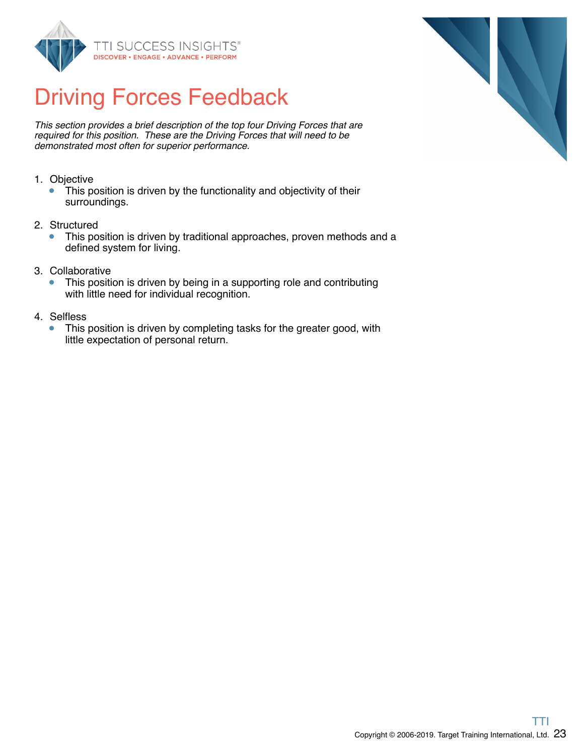

### Driving Forces Feedback

This section provides a brief description of the top four Driving Forces that are required for this position. These are the Driving Forces that will need to be demonstrated most often for superior performance.

- 1. Objective
	- This position is driven by the functionality and objectivity of their  $\bullet$ surroundings.
- 2. Structured
	- $\bullet$ This position is driven by traditional approaches, proven methods and a defined system for living.
- 3. Collaborative
	- This position is driven by being in a supporting role and contributing  $\bullet$ with little need for individual recognition.
- 4. Selfless
	- This position is driven by completing tasks for the greater good, with  $\bullet$ little expectation of personal return.

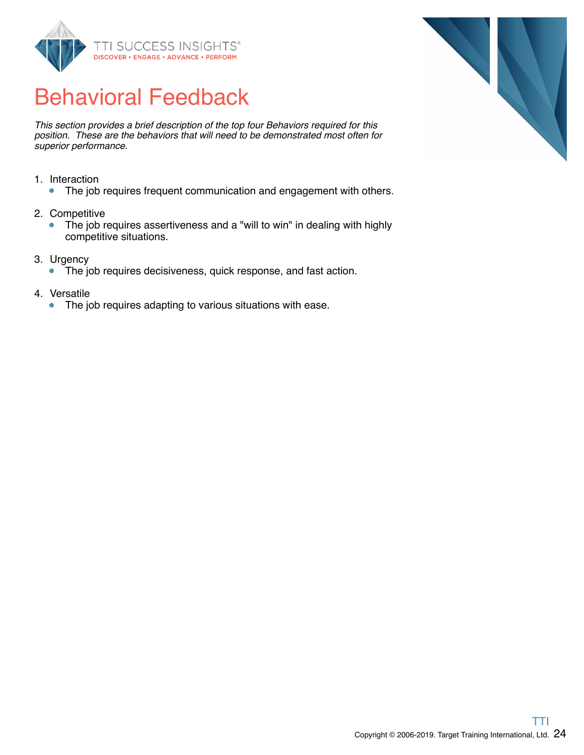

## Behavioral Feedback

This section provides a brief description of the top four Behaviors required for this position. These are the behaviors that will need to be demonstrated most often for superior performance.

- 1. Interaction
	- The job requires frequent communication and engagement with others.
- 2. Competitive
	- The job requires assertiveness and a "will to win" in dealing with highly  $\bullet$ competitive situations.
- 3. Urgency
	- The job requires decisiveness, quick response, and fast action.
- 4. Versatile
	- The job requires adapting to various situations with ease.  $\bullet$

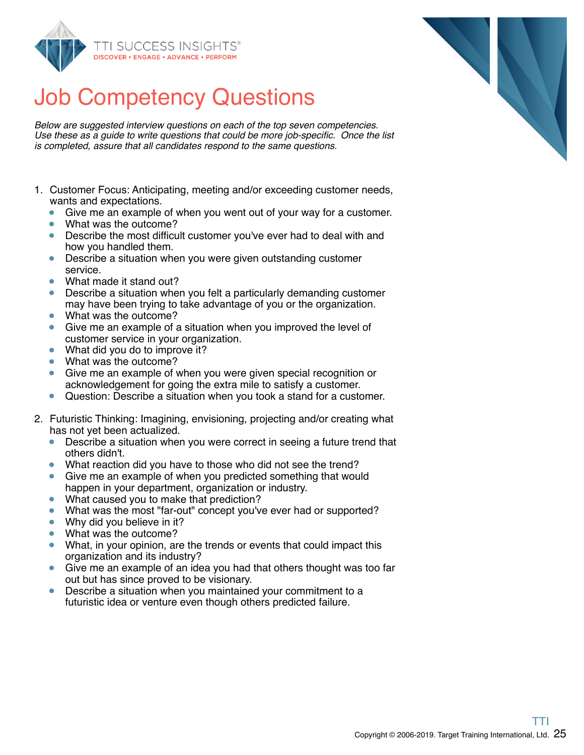

Below are suggested interview questions on each of the top seven competencies. Use these as a guide to write questions that could be more job-specific. Once the list is completed, assure that all candidates respond to the same questions.

- 1. Customer Focus: Anticipating, meeting and/or exceeding customer needs, wants and expectations.
	- Give me an example of when you went out of your way for a customer.  $\bullet$
	- What was the outcome?
	- Describe the most difficult customer you've ever had to deal with and how you handled them.
	- Describe a situation when you were given outstanding customer service.
	- ò What made it stand out?
	- Describe a situation when you felt a particularly demanding customer may have been trying to take advantage of you or the organization.
	- What was the outcome?
	- Give me an example of a situation when you improved the level of customer service in your organization.
	- What did you do to improve it?
	- What was the outcome?
	- Give me an example of when you were given special recognition or acknowledgement for going the extra mile to satisfy a customer.
	- Question: Describe a situation when you took a stand for a customer.  $\bullet$
- 2. Futuristic Thinking: Imagining, envisioning, projecting and/or creating what has not yet been actualized.
	- Describe a situation when you were correct in seeing a future trend that others didn't.
	- $\bullet$ What reaction did you have to those who did not see the trend?
	- Give me an example of when you predicted something that would happen in your department, organization or industry.
	- What caused you to make that prediction?  $\bullet$
	- What was the most "far-out" concept you've ever had or supported?  $\bullet$
	- Why did you believe in it?  $\bullet$
	- What was the outcome?
	- What, in your opinion, are the trends or events that could impact this  $\bullet$ organization and its industry?
	- Give me an example of an idea you had that others thought was too far out but has since proved to be visionary.
	- Describe a situation when you maintained your commitment to a futuristic idea or venture even though others predicted failure.

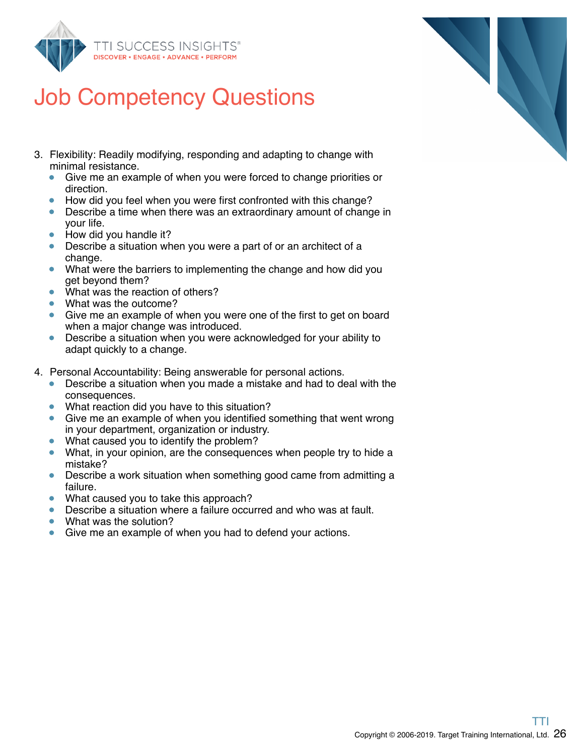

- 3. Flexibility: Readily modifying, responding and adapting to change with minimal resistance.
	- Give me an example of when you were forced to change priorities or  $\bullet$ direction.
	- How did you feel when you were first confronted with this change?
	- Describe a time when there was an extraordinary amount of change in your life.
	- How did you handle it?
	- Describe a situation when you were a part of or an architect of a change.
	- What were the barriers to implementing the change and how did you get beyond them?
	- What was the reaction of others?
	- What was the outcome?
	- Give me an example of when you were one of the first to get on board when a major change was introduced.
	- Describe a situation when you were acknowledged for your ability to  $\bullet$ adapt quickly to a change.
- 4. Personal Accountability: Being answerable for personal actions.
	- Describe a situation when you made a mistake and had to deal with the  $\bullet$ consequences.
	- What reaction did you have to this situation?
	- Give me an example of when you identified something that went wrong in your department, organization or industry.
	- What caused you to identify the problem?
	- What, in your opinion, are the consequences when people try to hide a mistake?
	- Describe a work situation when something good came from admitting a failure.
	- What caused you to take this approach?
	- Describe a situation where a failure occurred and who was at fault.  $\bullet$
	- What was the solution?
	- Give me an example of when you had to defend your actions.

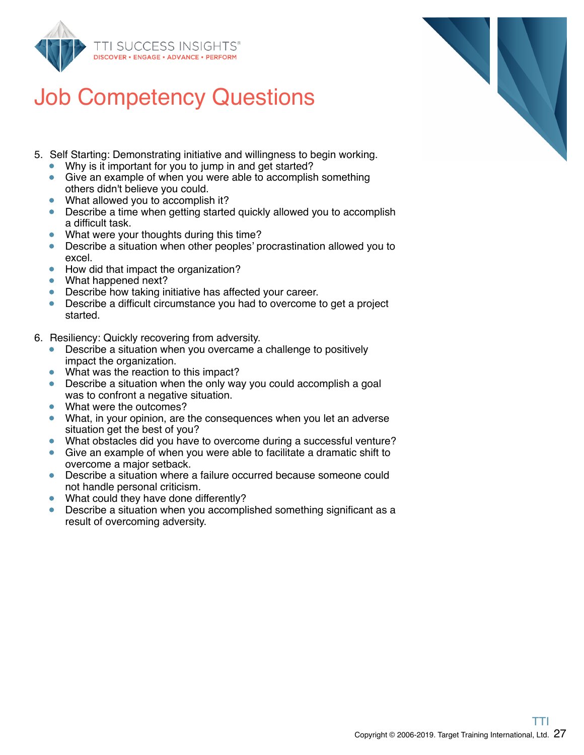

- 5. Self Starting: Demonstrating initiative and willingness to begin working.
	- Why is it important for you to jump in and get started?
	- Give an example of when you were able to accomplish something others didn't believe you could.
	- What allowed you to accomplish it?
	- Describe a time when getting started quickly allowed you to accomplish  $\bullet$ a difficult task.
	- What were your thoughts during this time?
	- Describe a situation when other peoples' procrastination allowed you to  $\bullet$ excel.
	- How did that impact the organization?  $\bullet$
	- What happened next?
	- Describe how taking initiative has affected your career.
	- Describe a difficult circumstance you had to overcome to get a project started.
- 6. Resiliency: Quickly recovering from adversity.
	- Describe a situation when you overcame a challenge to positively impact the organization.
	- What was the reaction to this impact?
	- Describe a situation when the only way you could accomplish a goal was to confront a negative situation.
	- What were the outcomes?
	- What, in your opinion, are the consequences when you let an adverse situation get the best of you?
	- What obstacles did you have to overcome during a successful venture?  $\bullet$
	- Give an example of when you were able to facilitate a dramatic shift to overcome a major setback.
	- Describe a situation where a failure occurred because someone could not handle personal criticism.
	- What could they have done differently?
	- Describe a situation when you accomplished something significant as a result of overcoming adversity.

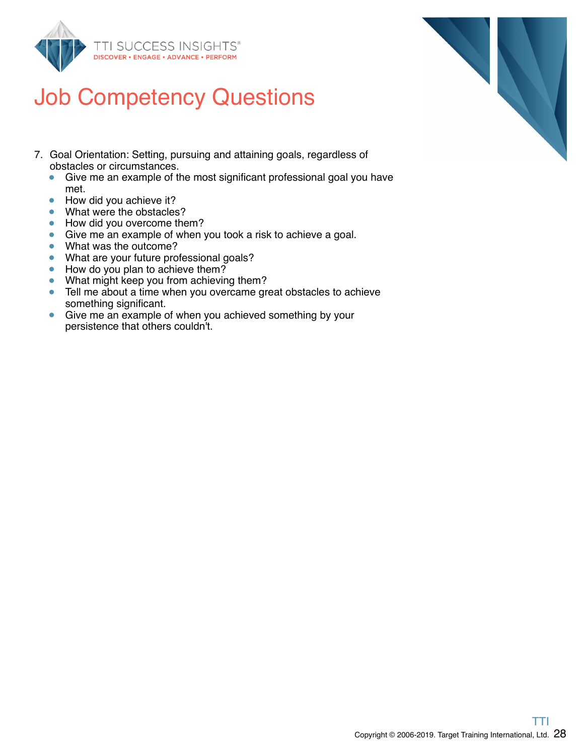

- 7. Goal Orientation: Setting, pursuing and attaining goals, regardless of obstacles or circumstances.
	- $\bullet$ Give me an example of the most significant professional goal you have met.
	- How did you achieve it?  $\bullet$
	- What were the obstacles?
	- How did you overcome them?
	- Give me an example of when you took a risk to achieve a goal.
	- What was the outcome?
	- What are your future professional goals?
	- How do you plan to achieve them?  $\bullet$
	- What might keep you from achieving them?
	- $\bullet$ Tell me about a time when you overcame great obstacles to achieve something significant.
	- Give me an example of when you achieved something by your persistence that others couldn't.

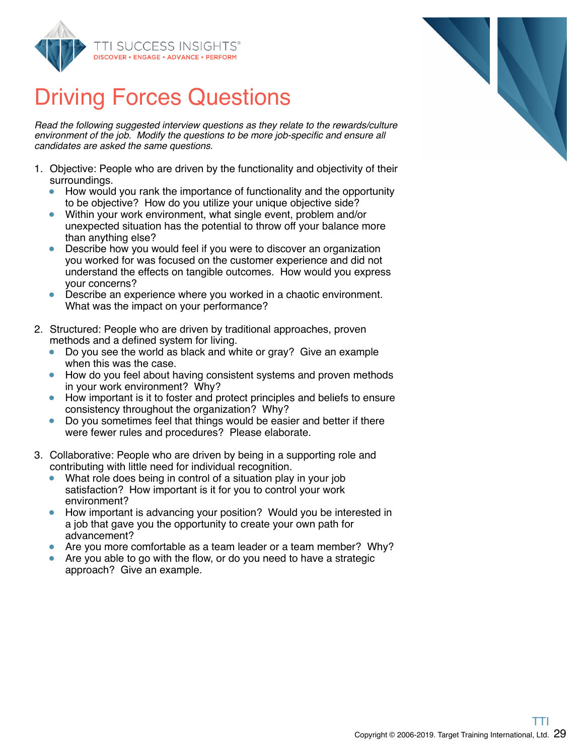

### Driving Forces Questions

Read the following suggested interview questions as they relate to the rewards/culture environment of the job. Modify the questions to be more job-specific and ensure all candidates are asked the same questions.

- 1. Objective: People who are driven by the functionality and objectivity of their surroundings.
	- How would you rank the importance of functionality and the opportunity to be objective? How do you utilize your unique objective side?
	- Within your work environment, what single event, problem and/or unexpected situation has the potential to throw off your balance more than anything else?
	- Describe how you would feel if you were to discover an organization you worked for was focused on the customer experience and did not understand the effects on tangible outcomes. How would you express your concerns?
	- Describe an experience where you worked in a chaotic environment. What was the impact on your performance?
- 2. Structured: People who are driven by traditional approaches, proven methods and a defined system for living.
	- Do you see the world as black and white or gray? Give an example when this was the case.
	- How do you feel about having consistent systems and proven methods in your work environment? Why?
	- How important is it to foster and protect principles and beliefs to ensure consistency throughout the organization? Why?
	- $\bullet$ Do you sometimes feel that things would be easier and better if there were fewer rules and procedures? Please elaborate.
- 3. Collaborative: People who are driven by being in a supporting role and contributing with little need for individual recognition.
	- What role does being in control of a situation play in your job satisfaction? How important is it for you to control your work environment?
	- How important is advancing your position? Would you be interested in a job that gave you the opportunity to create your own path for advancement?
	- Are you more comfortable as a team leader or a team member? Why?
	- Are you able to go with the flow, or do you need to have a strategic  $\bullet$ approach? Give an example.

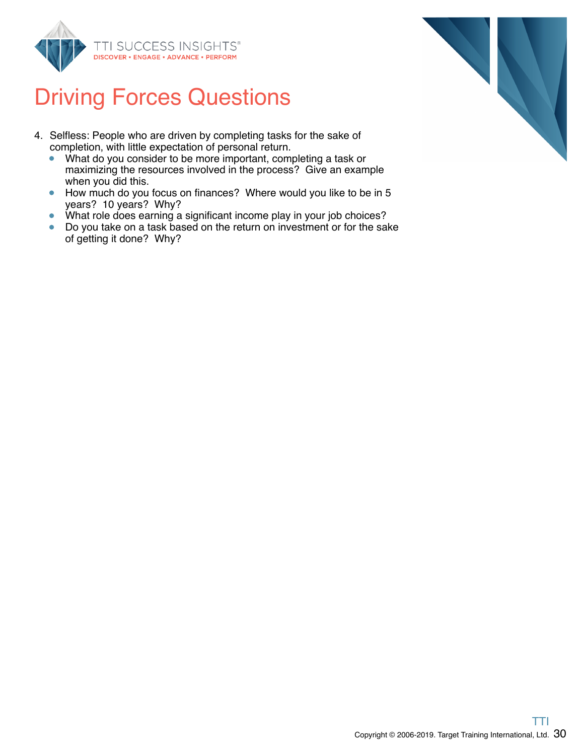

### Driving Forces Questions

- 4. Selfless: People who are driven by completing tasks for the sake of completion, with little expectation of personal return.
	- What do you consider to be more important, completing a task or  $\bullet$ maximizing the resources involved in the process? Give an example when you did this.
	- How much do you focus on finances? Where would you like to be in 5  $\bullet$ years? 10 years? Why?
	- What role does earning a significant income play in your job choices?  $\bullet$
	- Do you take on a task based on the return on investment or for the sake  $\bullet$ of getting it done? Why?

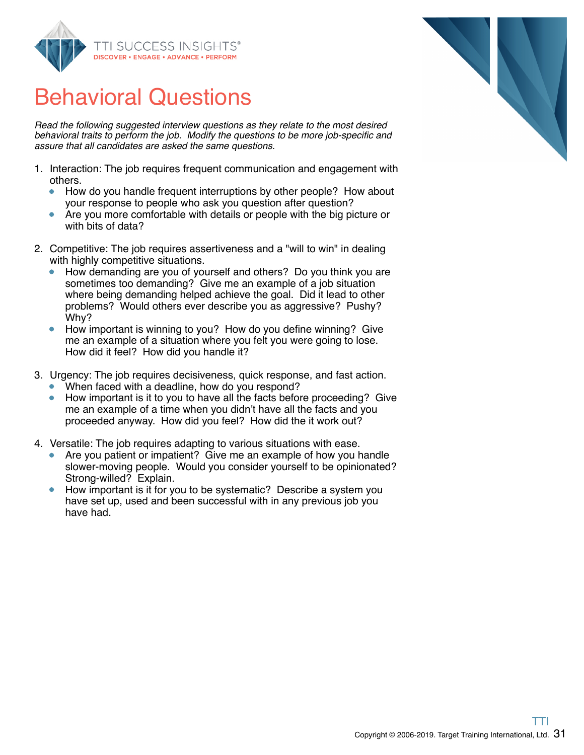

### Behavioral Questions

Read the following suggested interview questions as they relate to the most desired behavioral traits to perform the job. Modify the questions to be more job-specific and assure that all candidates are asked the same questions.

- 1. Interaction: The job requires frequent communication and engagement with others.
	- $\bullet$ How do you handle frequent interruptions by other people? How about your response to people who ask you question after question?
	- Are you more comfortable with details or people with the big picture or with bits of data?
- 2. Competitive: The job requires assertiveness and a "will to win" in dealing with highly competitive situations.
	- How demanding are you of yourself and others? Do you think you are sometimes too demanding? Give me an example of a job situation where being demanding helped achieve the goal. Did it lead to other problems? Would others ever describe you as aggressive? Pushy? Why?
	- How important is winning to you? How do you define winning? Give me an example of a situation where you felt you were going to lose. How did it feel? How did you handle it?
- 3. Urgency: The job requires decisiveness, quick response, and fast action.
	- When faced with a deadline, how do you respond?
	- How important is it to you to have all the facts before proceeding? Give me an example of a time when you didn't have all the facts and you proceeded anyway. How did you feel? How did the it work out?
- 4. Versatile: The job requires adapting to various situations with ease.
	- Are you patient or impatient? Give me an example of how you handle slower-moving people. Would you consider yourself to be opinionated? Strong-willed? Explain.
	- How important is it for you to be systematic? Describe a system you have set up, used and been successful with in any previous job you have had.

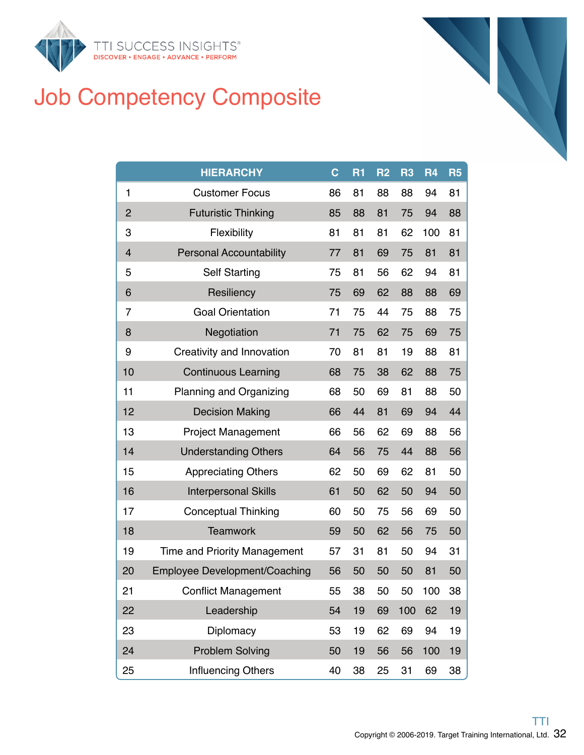

### Job Competency Composite

|                         | <b>HIERARCHY</b>                     | $\mathbf c$ | R <sub>1</sub> | R <sub>2</sub> | R <sub>3</sub> | R <sub>4</sub> | R <sub>5</sub> |
|-------------------------|--------------------------------------|-------------|----------------|----------------|----------------|----------------|----------------|
| $\mathbf{1}$            | <b>Customer Focus</b>                | 86          | 81             | 88             | 88             | 94             | 81             |
| $\overline{2}$          | <b>Futuristic Thinking</b>           | 85          | 88             | 81             | 75             | 94             | 88             |
| 3                       | Flexibility                          | 81          | 81             | 81             | 62             | 100            | 81             |
| $\overline{\mathbf{4}}$ | <b>Personal Accountability</b>       | 77          | 81             | 69             | 75             | 81             | 81             |
| 5                       | <b>Self Starting</b>                 | 75          | 81             | 56             | 62             | 94             | 81             |
| 6                       | Resiliency                           | 75          | 69             | 62             | 88             | 88             | 69             |
| 7                       | <b>Goal Orientation</b>              | 71          | 75             | 44             | 75             | 88             | 75             |
| 8                       | Negotiation                          | 71          | 75             | 62             | 75             | 69             | 75             |
| 9                       | Creativity and Innovation            | 70          | 81             | 81             | 19             | 88             | 81             |
| 10                      | <b>Continuous Learning</b>           | 68          | 75             | 38             | 62             | 88             | 75             |
| 11                      | Planning and Organizing              | 68          | 50             | 69             | 81             | 88             | 50             |
| 12                      | <b>Decision Making</b>               | 66          | 44             | 81             | 69             | 94             | 44             |
| 13                      | <b>Project Management</b>            | 66          | 56             | 62             | 69             | 88             | 56             |
| 14                      | <b>Understanding Others</b>          | 64          | 56             | 75             | 44             | 88             | 56             |
| 15                      | <b>Appreciating Others</b>           | 62          | 50             | 69             | 62             | 81             | 50             |
| 16                      | <b>Interpersonal Skills</b>          | 61          | 50             | 62             | 50             | 94             | 50             |
| 17                      | <b>Conceptual Thinking</b>           | 60          | 50             | 75             | 56             | 69             | 50             |
| 18                      | <b>Teamwork</b>                      | 59          | 50             | 62             | 56             | 75             | 50             |
| 19                      | <b>Time and Priority Management</b>  | 57          | 31             | 81             | 50             | 94             | 31             |
| 20                      | <b>Employee Development/Coaching</b> | 56          | 50             | 50             | 50             | 81             | 50             |
| 21                      | <b>Conflict Management</b>           | 55          | 38             | 50             | 50             | 100            | 38             |
| 22                      | Leadership                           | 54          | 19             | 69             | 100            | 62             | 19             |
| 23                      | Diplomacy                            | 53          | 19             | 62             | 69             | 94             | 19             |
| 24                      | <b>Problem Solving</b>               | 50          | 19             | 56             | 56             | 100            | 19             |
| 25                      | Influencing Others                   | 40          | 38             | 25             | 31             | 69             | 38             |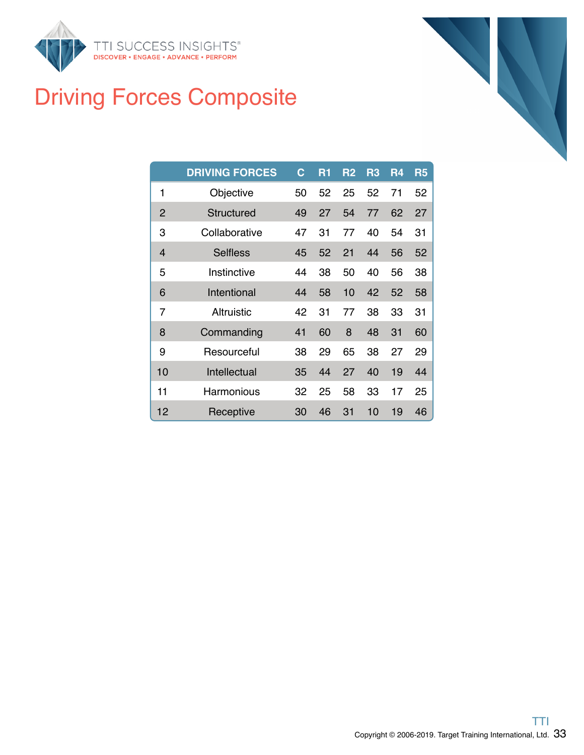

## Driving Forces Composite

|                | <b>DRIVING FORCES</b> | $\mathbf C$ | R <sub>1</sub> | R <sub>2</sub> | R3 | R4 | R <sub>5</sub> |
|----------------|-----------------------|-------------|----------------|----------------|----|----|----------------|
| 1              | Objective             | 50          | 52             | 25             | 52 | 71 | 52             |
| 2              | Structured            | 49          | 27             | 54             | 77 | 62 | 27             |
| 3              | Collaborative         | 47          | 31             | 77             | 40 | 54 | 31             |
| $\overline{4}$ | <b>Selfless</b>       | 45          | 52             | 21             | 44 | 56 | 52             |
| 5              | Instinctive           | 44          | 38             | 50             | 40 | 56 | 38             |
| 6              | Intentional           | 44          | 58             | 10             | 42 | 52 | 58             |
| 7              | Altruistic            | 42          | 31             | 77             | 38 | 33 | 31             |
| 8              | Commanding            | 41          | 60             | 8              | 48 | 31 | 60             |
| 9              | Resourceful           | 38          | 29             | 65             | 38 | 27 | 29             |
| 10             | Intellectual          | 35          | 44             | 27             | 40 | 19 | 44             |
| 11             | Harmonious            | 32          | 25             | 58             | 33 | 17 | 25             |
| 12             | Receptive             | 30          | 46             | 31             | 10 | 19 | 46             |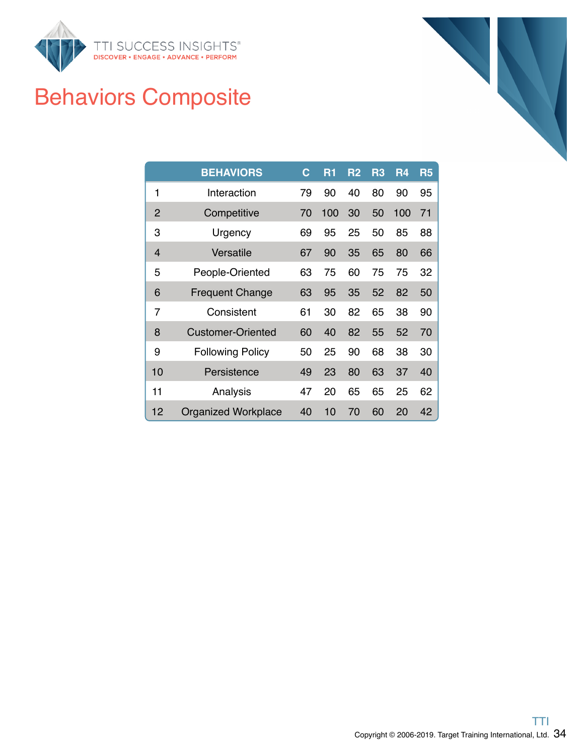

## Behaviors Composite

|                | <b>BEHAVIORS</b>           | $\mathbf C$ | R1  | R <sub>2</sub> | R3 | R <sub>4</sub> | <b>R5</b> |
|----------------|----------------------------|-------------|-----|----------------|----|----------------|-----------|
| 1              | Interaction                | 79          | 90  | 40             | 80 | 90             | 95        |
| 2              | Competitive                | 70          | 100 | 30             | 50 | 100            | 71        |
| 3              | Urgency                    | 69          | 95  | 25             | 50 | 85             | 88        |
| $\overline{4}$ | Versatile                  | 67          | 90  | 35             | 65 | 80             | 66        |
| 5              | People-Oriented            | 63          | 75  | 60             | 75 | 75             | 32        |
| 6              | <b>Frequent Change</b>     | 63          | 95  | 35             | 52 | 82             | 50        |
| 7              | Consistent                 | 61          | 30  | 82             | 65 | 38             | 90        |
| 8              | Customer-Oriented          | 60          | 40  | 82             | 55 | 52             | 70        |
| 9              | <b>Following Policy</b>    | 50          | 25  | 90             | 68 | 38             | 30        |
| 10             | Persistence                | 49          | 23  | 80             | 63 | 37             | 40        |
| 11             | Analysis                   | 47          | 20  | 65             | 65 | 25             | 62        |
| 12             | <b>Organized Workplace</b> | 40          | 10  | 70             | 60 | 20             | 42        |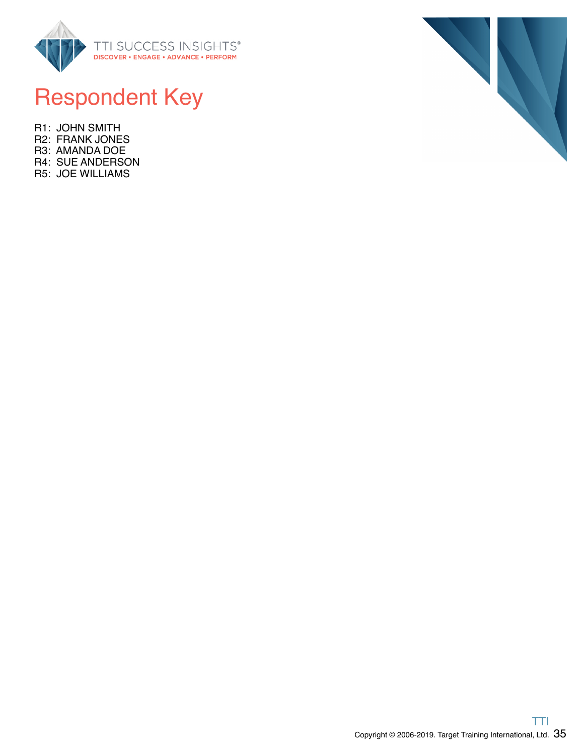

### Respondent Key

R1: JOHN SMITH R2: FRANK JONES R3: AMANDA DOE R4: SUE ANDERSON R5: JOE WILLIAMS